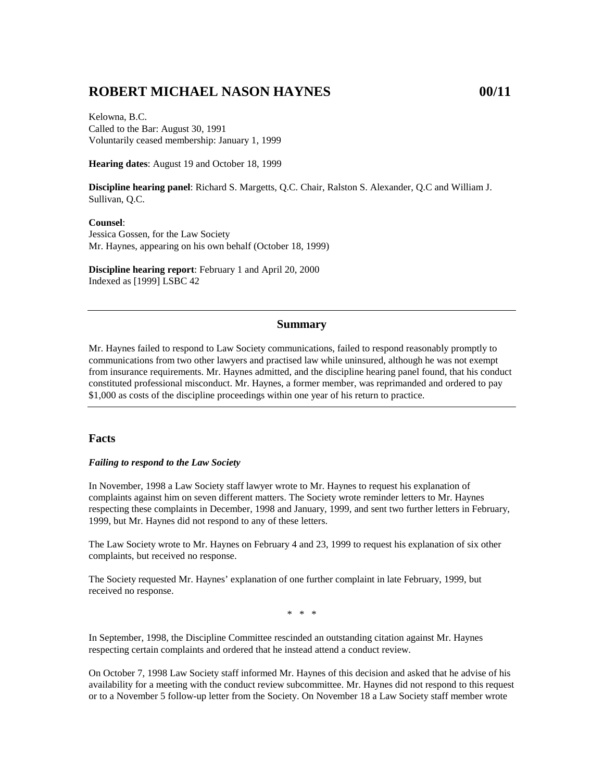# **ROBERT MICHAEL NASON HAYNES 00/11**

Kelowna, B.C. Called to the Bar: August 30, 1991 Voluntarily ceased membership: January 1, 1999

**Hearing dates**: August 19 and October 18, 1999

**Discipline hearing panel**: Richard S. Margetts, Q.C. Chair, Ralston S. Alexander, Q.C and William J. Sullivan, Q.C.

## **Counsel**:

Jessica Gossen, for the Law Society Mr. Haynes, appearing on his own behalf (October 18, 1999)

**Discipline hearing report**: February 1 and April 20, 2000 Indexed as [1999] LSBC 42

#### **Summary**

Mr. Haynes failed to respond to Law Society communications, failed to respond reasonably promptly to communications from two other lawyers and practised law while uninsured, although he was not exempt from insurance requirements. Mr. Haynes admitted, and the discipline hearing panel found, that his conduct constituted professional misconduct. Mr. Haynes, a former member, was reprimanded and ordered to pay \$1,000 as costs of the discipline proceedings within one year of his return to practice.

## **Facts**

#### *Failing to respond to the Law Society*

In November, 1998 a Law Society staff lawyer wrote to Mr. Haynes to request his explanation of complaints against him on seven different matters. The Society wrote reminder letters to Mr. Haynes respecting these complaints in December, 1998 and January, 1999, and sent two further letters in February, 1999, but Mr. Haynes did not respond to any of these letters.

The Law Society wrote to Mr. Haynes on February 4 and 23, 1999 to request his explanation of six other complaints, but received no response.

The Society requested Mr. Haynes' explanation of one further complaint in late February, 1999, but received no response.

\* \* \*

In September, 1998, the Discipline Committee rescinded an outstanding citation against Mr. Haynes respecting certain complaints and ordered that he instead attend a conduct review.

On October 7, 1998 Law Society staff informed Mr. Haynes of this decision and asked that he advise of his availability for a meeting with the conduct review subcommittee. Mr. Haynes did not respond to this request or to a November 5 follow-up letter from the Society. On November 18 a Law Society staff member wrote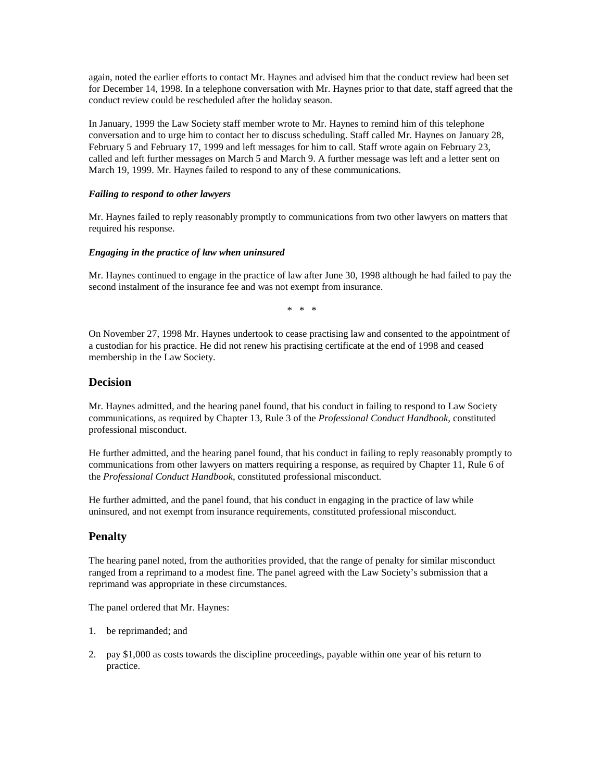again, noted the earlier efforts to contact Mr. Haynes and advised him that the conduct review had been set for December 14, 1998. In a telephone conversation with Mr. Haynes prior to that date, staff agreed that the conduct review could be rescheduled after the holiday season.

In January, 1999 the Law Society staff member wrote to Mr. Haynes to remind him of this telephone conversation and to urge him to contact her to discuss scheduling. Staff called Mr. Haynes on January 28, February 5 and February 17, 1999 and left messages for him to call. Staff wrote again on February 23, called and left further messages on March 5 and March 9. A further message was left and a letter sent on March 19, 1999. Mr. Haynes failed to respond to any of these communications.

# *Failing to respond to other lawyers*

Mr. Haynes failed to reply reasonably promptly to communications from two other lawyers on matters that required his response.

## *Engaging in the practice of law when uninsured*

Mr. Haynes continued to engage in the practice of law after June 30, 1998 although he had failed to pay the second instalment of the insurance fee and was not exempt from insurance.

\* \* \*

On November 27, 1998 Mr. Haynes undertook to cease practising law and consented to the appointment of a custodian for his practice. He did not renew his practising certificate at the end of 1998 and ceased membership in the Law Society.

# **Decision**

Mr. Haynes admitted, and the hearing panel found, that his conduct in failing to respond to Law Society communications, as required by Chapter 13, Rule 3 of the *Professional Conduct Handbook,* constituted professional misconduct.

He further admitted, and the hearing panel found, that his conduct in failing to reply reasonably promptly to communications from other lawyers on matters requiring a response, as required by Chapter 11, Rule 6 of the *Professional Conduct Handbook*, constituted professional misconduct.

He further admitted, and the panel found, that his conduct in engaging in the practice of law while uninsured, and not exempt from insurance requirements, constituted professional misconduct.

# **Penalty**

The hearing panel noted, from the authorities provided, that the range of penalty for similar misconduct ranged from a reprimand to a modest fine. The panel agreed with the Law Society's submission that a reprimand was appropriate in these circumstances.

The panel ordered that Mr. Haynes:

- 1. be reprimanded; and
- 2. pay \$1,000 as costs towards the discipline proceedings, payable within one year of his return to practice.